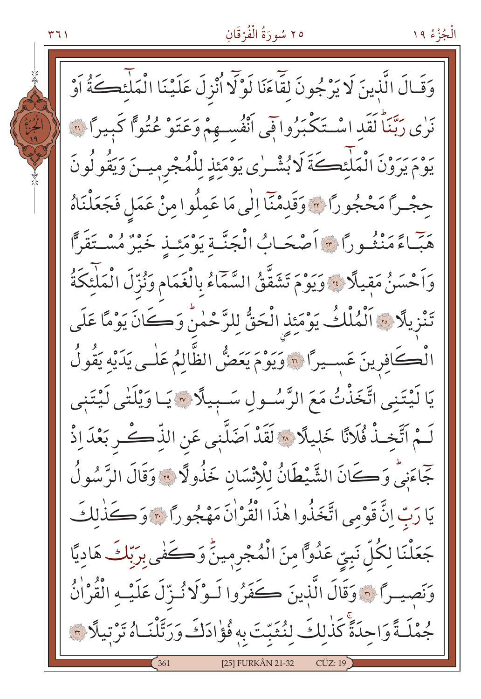#### ٢٥ سُورَةُ الْفُرْقَانِ

الْجُزْءُ ١٩

۲ ۶ ۱

وَقَالَ الَّذِينَ لَا يَرْجُونَ لِقَاءَنَا لَوْلَا أُنْزِلَ عَلَيْنَا الْمَلْئِكَةُ أَوْ نَوْى رَبَّنَا لَقَد اسْتَكْبَرُوا فِي أَنْفُسِهِمْ وَعَتَوْ عُتُوًّا كَبِيرًا ۞ يَوْمَ يَرَوْنَ الْمَلْئِكَةَ لَا بُشْرِي يَوْمَئِذِ لِلْمُجْرِمِينَ وَيَقُولُونَ حجْـرًا مَحْجُورًا ٣ وَقَدِمْنَا اِلٰى مَا عَمِلُوا مِنْ عَمَلِ فَجَعَلْنَاهُ حَبّاءً مَنْثُـورًا \* أَصْحَـابُ الْجَنَّـةِ يَوْمَئِـذِ خَيْرٌ مُسْـتَقَرًّا وَاَحْسَنُ مَقِيلًا لَ وَيَوْمَ تَشَقَّقُ السَّمَّاءُ بِالْغَمَامِ وَنُزِّلَ الْمَلْئَكَةُ تَنْزِيلًا ۞ اَلْمُلْكُ يَوْمَئِذِ الْحَقُّ لِلرَّحْمٰنُ وَكَانَ يَوْمًا عَلَى الْكَافِرِينَ عَسِيرًا ۞ وَيَوْمَ يَعَضُّ الظَّالِمُ عَلٰـى يَدَيْه يَقُولُ يَا لَيْتَنِي اتَّخَذْتُ مَعَ الرَّسُولِ سَـبِيلًا ۞ يَـا وَيْلَتٰي لَيْتَنِي لَـمْ آتَّخـذْ فُلَانًا خَلِيلًا \* لَقَدْ اَضَلَّنٖى عَنِ الذِّكَـرِ بَعْدَ اِذْ جَاءَنِيٍّ وَكَانَ الشَّيْطَانُ لِلْإِنْسَانِ خَذُولًا ؟ وَقَالَ الرَّسُولُ يَا رَبِّ إِنَّ قَوْمِي اتَّخَذُوا هٰذَا الْقُرْاٰنَ مَهْجُو رَّا ﴾ وَكَذٰلكَ جَعَلْنَا لِكُلِّ نَبِيِّ عَدُوًّا مِنَ الْمُجْرِمِينُّ وَكَفٰى بِرَبِّكَ هَادِيًّا وَنَصِيرًا ٢٠ وَقَالَ الَّذِينَ كَفَرُوا لَـوْلَا نُـزّلَ عَلَيْـهِ الْقُرْاٰنُ جُمْلَـةً وَاحِدَةً كَذٰلِكَ لِنُثَبِّتَ بِهِ فُؤْادَكَ وَرَتَّلْنَـاهُ تَرْتِيلًا ٣ [25] FURKÂN 21-32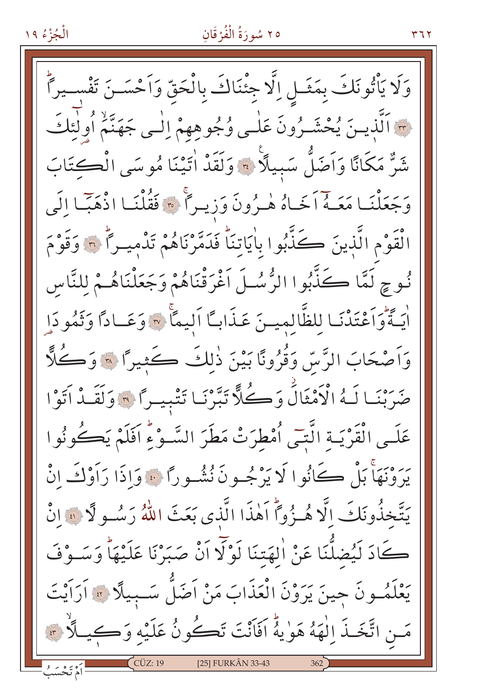# ٢٥ سُورَةُ الْفُرْقَانِ

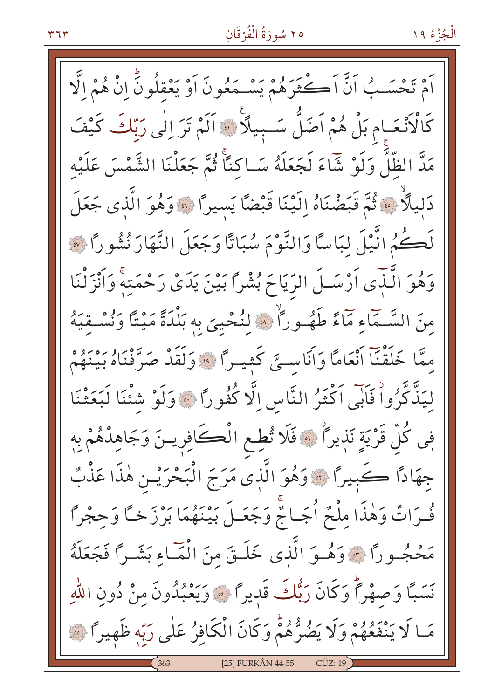#### ٣٦٣

#### ٢٥ سُورَةُ الْفُرْقَانِ

الْجُزْءُ ١٩

اَمْ تَحْسَبُ اَنَّ اَكْثَرَهُمْ يَسْمَعُونَ اَوْ يَعْقِلُونَّ انْ هُمْ الَّا كَالْأَنْعَـامِ بَلْ هُمْ اَضَلَّ سَـبِيلًا ﴾ اَلَمْ تَرَ إِلٰى رَبّاكَ كَيْفَ مَدَّ الظِّلَّ وَلَوْ شَاءَ لَجَعَلَهُ سَـاكِنَّا ثُمَّ جَعَلْنَا الشَّمْسَ عَلَيْهِ دَلِيلًا ۞ ثُمَّ قَبَضْنَاهُ إِلَيْنَا قَبْضًا يَسيراً ۞ وَهُوَ الَّذي جَعَلَ لَكُمُ الَّيْلَ لِبَاسًا وَالنَّوْمَ سُبَاتًا وَجَعَلَ النَّهَارَ نُشُورًا ۞ وَهُوَ الَّذِّي اَرْسَـلَ الرِّيَاحَ بُشْرًا بَيْنَ يَدَىْ رَحْمَتِهِ وَاَنْزَلْنَا مِنَ السَّـمَاءِ مَمَاءً طَهُـوراً \* لِنُحْيِيَ بِهِ بَلْدَةً مَيْتًا وَنُسْـقِيَهُ مِمَّا خَلَقْنَا انْعَامًا وَاَنَاسِيَّ كَثِيراً ۞ وَلَقَدْ صَرَّفْنَاهُ بَيْنَهُمْ ليَذَّكَّرُواْ فَأَبِّي اَكْثَرُ النَّاسِ إِلَّا كُفُوراً ۞ وَلَوْ شَئْنَا لَبَعَثْنَا فِي كُلِّ قَرْيَةٍ نَذِيرًا ۚ ۞ فَلَا تُطِعِ الْكَافِرِينَ وَجَاهِدْهُمْ بِهِ جهَادًا كَبِيرًا ۞ وَهُوَ الَّذِي مَرَجَ الْبَحْرَيْـنِ هٰذَا عَذْبٌ فُحرَاتٌ وَهٰذَا مِلْحٌ أُجَـاجٌ وَجَعَـلَ بَيْنَهُمَا بَرْزَ خَـَّا وَحِجْرًا مَحْجُــورًا ۞ وَهُــوَ الَّذى خَلَــقَ منَ الْمَــاءِ بَشَــرًا فَجَعَلَهُ نَسَبًا وَصهْرًا وَكَانَ رَبُّكَ قَديرًا ﴾ وَيَعْبُدُونَ مِنْ دُونِ اللهِ مَا لَا يَنْفَعُهُمْ وَلَا يَضُرُّهُمْ وَكَانَ الْكَافِرُ عَلَى رَبِّهِ ظَهِيرًا ﴾ [25] FURKÂN 44-55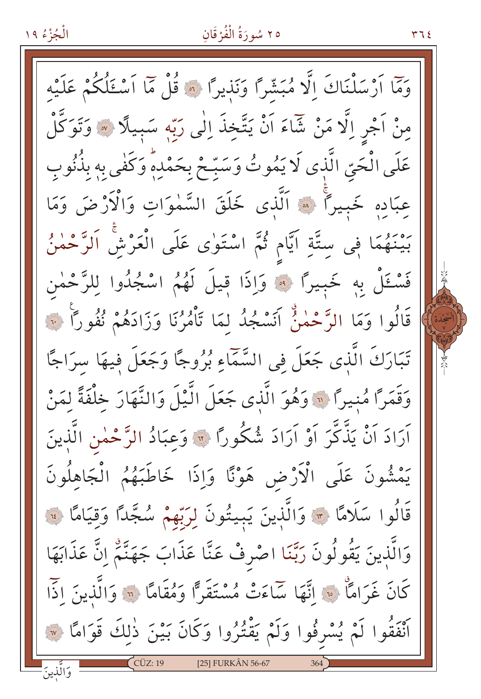#### ٢٥ سُورَةُ الْفُرْقَانِ

۳٦٤

وَمَّا أَرْسَلْنَاكَ إِلَّا مُبَشَّرًا وَنَذِيرًا ﴾ قُلْ مَّا أَسْتَلُكُمْ عَلَيْهِ مِنْ اَجْرِ اِلَّا مَنْ شَاءَ اَنْ يَتَّخِذَ اِلٰى رَبِّهِ سَبِيلًا ۞ وَتَوَكَّلْ عَلَى الْحَيِّ الَّذِي لَا يَمُوتُ وَسَبِّحْ بِحَمْدِهِ وَكَفى بِهِ بِذُنُوبِ عبَادهِ خَبِيراً ﴾ اَلَّذِى خَلَقَ السَّمٰوَاتِ وَالْأَرْضَ وَمَا بَيْنَهُمَا فِي سِتَّةِ اَيَّامٍ ثُمَّ اسْتَوٰى عَلَى الْعَرْشِ اَلرَّحْمٰنُ فَسْعَلْ بِهِ خَبِيرًا ﴾ وَإِذَا قِيلَ لَهُمُ اسْجُلُوا لِلرَّحْمٰنِ قَالُوا وَمَا الرَّحْمٰنُ أَنَسْجُدُ لَمَا تَأْمُرُنَا وَزَادَهُمْ نُفُورًا ۚ لَّ تَبَارَكَ الَّذِى جَعَلَ فِى السَّمَّاءِ بُرُوجًا وَجَعَلَ فِيهَا سِرَاجًا وَقَمَرًا مُنِيرًا ۚ " وَهُوَ الَّذِى جَعَلَ الَّيْلَ وَالنَّهَارَ خَلْفَةً لَمَنْ آرَادَ اَنْ يَذَّكَّرَ اَوْ اَرَادَ شُكُورًا ۞ وَعِبَادُ الرَّحْمٰنِ الَّذِينَ يَمْشُونَ عَلَى الْأَرْضِ هَوْنًا وَإِذَا خَاطَبَهُمُ الْجَاهِلُونَ قَالُوا سَلَامًا ۞ وَالَّذِينَ يَبِيتُونَ لِرَبِّهِمْ سُجَّدًا وَقِيَامًا ۞ وَالَّذِينَ يَقُولُونَ رَبَّنَا اصْرِفْ عَنَّا عَذَابَ جَهَنَّمْ اِنَّ عَذَابَهَا كَانَ غَرَامًا \* إِنَّهَا سَاءَتْ مُسْتَقَرًّا وَمُقَامًا \* وَالَّذِينَ إِذَّا أَنْفَقُوا لَمْ يُسْرِفُوا وَلَمْ يَقْتُرُوا وَكَانَ بَيْنَ ذٰلِكَ قَوَامًا ۞ وَالَّذِينَ [25] FURKÂN 56-67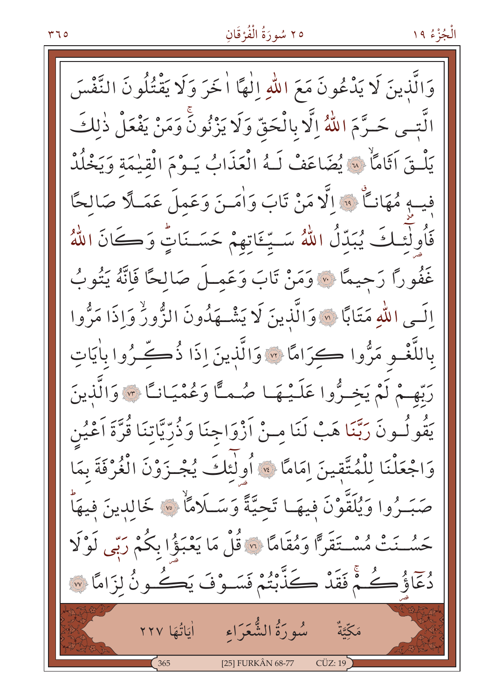#### ٢٥ سُورَةُ الْفُرْقَانِ

وَالَّذِينَ لَا يَدْعُونَ مَعَ اللَّهِ إِلٰهًا أُخَرَ وَلَا يَقْتُلُونَ النَّفْسَ الَّتِـى حَـرَّمَ اللَّهُ إِلَّا بِالْحَقِّ وَلَا يَزْنُونَٰ وَمَنْ يَفْعَلْ ذٰلكَ يَلْقَ آثَامًاْ \* يُضَاعَفْ لَـهُ الْعَذَابُ يَـوْمَ الْقيٰمَة وَيَخْلُدْ فيهِ مُهَانِّ فَ الَّا مَنْ تَابَ وَاٰمَـنَ وَعَمِلَ عَمَـلًا صَالِحًا فَأُولَٰئِكَ يُبَدِّلُ اللَّهُ سَتِّئَاتِهِمْ حَسَنَاتٍّ وَكَانَ اللَّهُ غَفُورًا رَحِيمًا ﴾ وَمَنْ تَابَ وَعَمِـلَ صَالِحًا فَاِنَّهُ يَتُوبُ الَـى اللهِ مَتَابًا ۞ وَالَّذينَ لَا يَشْــهَدُونَ الزُّورُ وَإِذَا مَرُّوا باللَّغْـوِ مَرُّوا ڪرَامًا ۞ وَالَّذِينَ إِذَا ذُڪِّـرُوا باٰيَاتِ رَبُّهِمْ لَمْ يَخِيرُوا عَلَيْهَا صُمَّا وَعُمْيَاناً \* وَالَّذِينَ يَقُولُـونَ رَبَّنَا هَبْ لَنَا مِـنْ اَزْوَاجِنَا وَذُرِّيَّاتِنَا قُرَّةَ اَعْيُنِ وَاجْعَلْنَا لِلْمُتَّقِينَ إِمَامًا \* أُولَٰئِكَ يُجْـزَوْنَ الْغُرْفَةَ بِمَا صَبَـرُوا وَيُلَقَّوْنَ فيهَـا تَحيَّةً وَسَـلَامًاْ \* خَالدينَ فيهَاْ حَسُّـنَتْ مُسْـتَقَرًّا وَمُقَامًا ۞ قُلْ مَا يَعْبَؤُا بِكُمْ رَبِّي لَوْلَا دُعَّاؤُكُمْ ۚ فَقَدْ كَذَّبْتُمْ فَسَـوْفَ يَكُـونُ لِزَامًا ۞ مَكِّيَّةٌ مُبُورَةُ الشُّعَرَاء أَمَاتُهَا ٢٢٧ [25] FURKÂN 68-77  $CÜZ:19$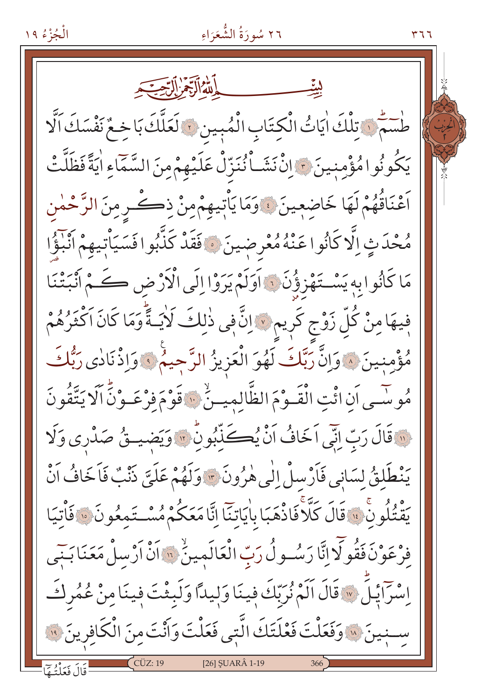الْجُزْءُ ١٩

٢٦ سُورَةُ الشَّعَرَاءِ

طْسَمْنَ تِلْكَ اٰيَاتُ الْكِتَابِ الْمُبِينِ ﴾ لَعَلَّكَ بَا خِعٌ نَفْسَكَ اَلَّا يَكُونُوا مُؤْمِنِينَ ﴾ إِنْ نَشَـاْ نُنَزِّلْ عَلَيْهِمْ مِنَ السَّمَاءِ اٰيَةً فَظَلَّتْ اَعْنَاقُهُمْ لَهَا خَاضِعِينَ ﴾وَمَا يَأْتِيهِمْ مِنْ ذِكْرِ مِنَ الرَّحْمٰنِ مُحْدَثٍ اِلَّا كَانُوا عَنْهُ مُعْرِضِينَ ﴾ فَقَدْ كَذَّبُوا فَسَيَأْتِيهِمْ انْبَوُّا مَا كَانُوا بِهِ يَسْتَهْزِؤُنَ ، اَوَلَمْ يَرَوْا إِلَى الْأَرْضِ كَمْ أَنْبَتْنَا فِيهَا مِنْ كُلِّ زَوْجٍ كَرِيمٍ ﴾ إِنَّ فِي ذٰلِكَ لَأَيَـةً وَمَا كَانَ اَكْثَرُهُمْ مُؤْمِنِينَ ۞ وَإِنَّ رَبَّكَ لَهُوَ الْعَزِيزُ الرَّجِيمُ ۞ وَإِذْنَادٰى رَبُّكَ مُوسَّـى اَنِ ائْتِ الْقَـوْمَ الظَّالِمِيـنُّ ﴿ قَوْمَ فَرْعَـوْنَّ اَلَا يَتَّقُونَ فِي قَالَ رَبِّ إِنِّي اَخَافُ اَنْ يُكَذِّبُونِ \* وَيَضِيقُ صَدْرِي وَلَا يَنْطَلِقُ لِسَانِي فَأَرْسِلْ إِلَى هٰرُونَ \* وَلَهُمْ عَلَيَّ ذَنْبٌ فَأَخَافُ أَنْ يَقْتُلُونَ ۚ ۚ قَالَ كَلَّا فَاذْهَبَا بِاٰيَاتِنَا إِنَّا مَعَكُمْ مُسْتَمِعُونَ ۚ ۚ فَأْتِيَا فِرْعَوْنَ فَقُولَا إِنَّا رَسُـولُ رَبِّ الْعَالَمِينُ ۚ " إِنَّ أَرْسِلْ مَعَنَا بَنِّي اِسْرَايَلَ ﴾ قَالَ الَمْ نُرَبّكَ فِينَا وَلِيداً وَلَبِثْتَ فِينَا مِنْ عُمُرِكَ سِبِينَ ۞ وَفَعَلْتَ فَعْلَتَكَ الَّتِي فَعَلْتَ وَأَنْتَ مِنَ الْكَافِرِينَ ۞ [26] ŞUARÂ 1-19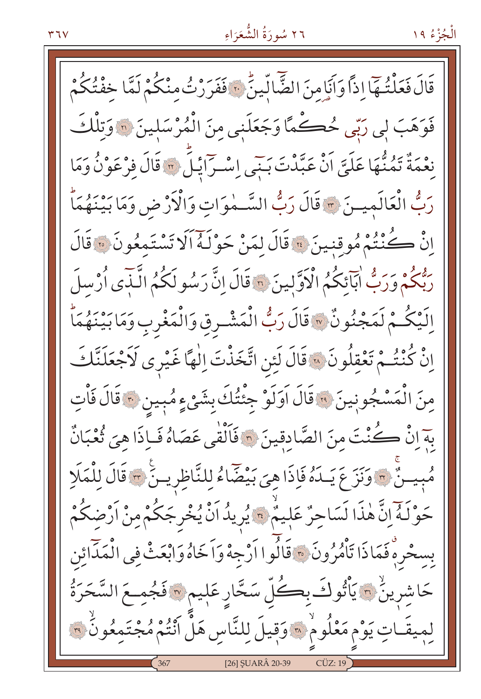قَالَ فَعَلْتُهَا إِذاً وَأَنَامِنَ الضَّالِّينُ ۚ فَفَرَرْتُ مِنْكُمْ لَمَّا خِفْتُكُمْ فَوَهَبَ لِي رَبِّي حُڪْمًا وَجَعَلَنِي مِنَ الْمُرْسَلِينَ ۞ وَتِلْكَ نِعْمَةٌ تَمُنُّهَا عَلَيَّ اَنْ عَبَّدْتَ بَنَى إِسْرَائِلَ \* قَالَ فِرْعَوْنُ وَمَا رَبُّ الْعَالَمِيـنَ \* قَالَ رَبُّ السَّـٰهٰوَاتِ وَالْأَرْضِ وَمَا بَيْنَهُمَاّ اِنْ كُنْتُمْ مُوقِنِينَ ﴾ قَالَ لِمَنْ حَوْلَهُ أَلَا تَسْتَمِعُونَ ﴾ قَالَ رَبُّكُمْ وَرَبُّ أَبَآئِكُمُ الْأَوَّلِينَ \* قَالَ إِنَّ رَسُو لَكُمُ الَّنَّدَى أُرْسِلَ اِلَيْكُمْ لَمَجْنُونٌ ۞ قَالَ رَبُّ الْمَشْرِقِ وَالْمَغْرِبِ وَمَا بَيْنَهُمَاّ إِنْ كُنْتُـمْ تَعْقِلُونَ ۞ قَالَ لَئِن اتَّخَذْتَ إِلٰهًا غَيْرِي لَاَجْعَلَنَّكَ مِنَ الْمَسْجُونِينَ ۞ قَالَ أَوَلَوْ جِئْتُكَ بِشَيْءٍ مُبِينِ ۞ قَالَ فَأْتِ بِهَ إِنْ كُنْتَ مِنَ الصَّادِقِينَ ۞ فَالْقٰي عَصَاهُ فَبِإِذَا هِيَ ثُعْبَانٌ مُبِينٌ ٣ وَنَزَعَ يَـدَهُ فَإِذَا هِيَ بَيْضَاءُ لِلنَّاظِرِينَ ٣ قَالَ لِلْمَلَإِ حَوْلَهُ إِنَّ هٰذَا لَسَاحِرٌ عَلِيمٌ \* يُرِيدُ اَنْ يُخْرِجَكُمْ مِنْ اَرْضِكُمْ بِسِحْرِهِ فَمَاذَا تَأْمُرُونَ ۞ قَالُوا اَرْجِهْ وَاَخَاهُ وَابْعَثْ فِي الْمَدَائِنِ حَاشِرِينُ ۞ يَأْتُوكَ بِكُلِّ سَحَّارِ عَلٖيم ۞ فَجُمِعَ السَّحَرَةُ لميقَـاتِ يَوْم مَعْلُومْ ۞ وَقِيلَ لِلنَّاسِ هَلْ أَنْتُمْ مُجْتَمِعُونُ ۞ [26] ŞUARÂ 20-39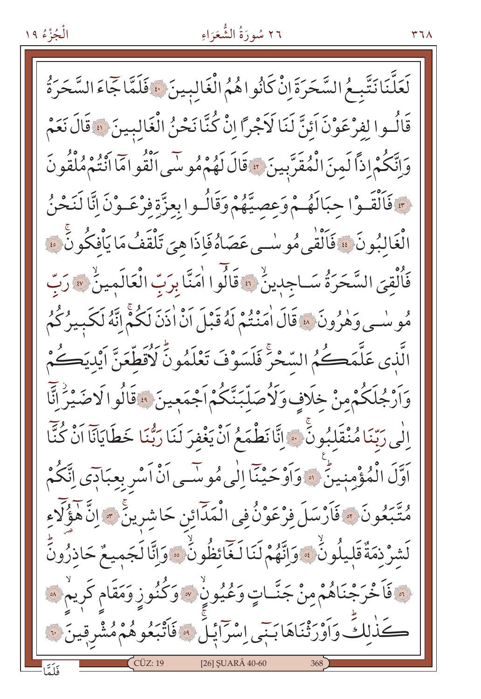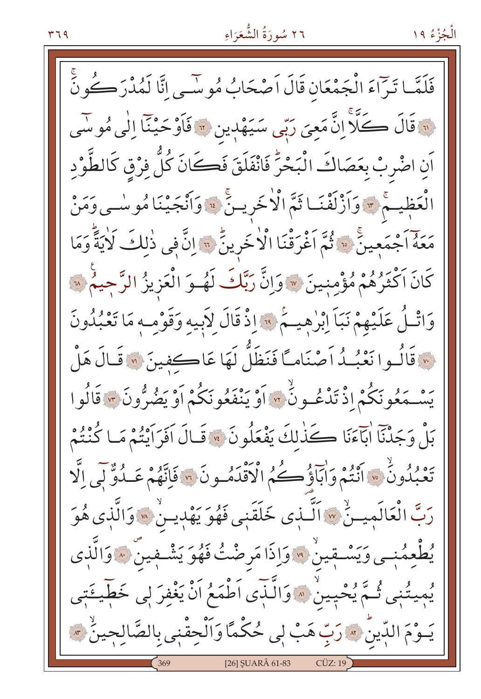الْجُزْءُ ١٩

فَلَمَّـا تَرَاءَ الْجَمْعَانِ قَالَ اَصْحَابُ مُوسَى انَّا لَمُدْرَكُونَّ نَّةَ قَالَ كَلَّا إِنَّ مَعِيَ رَبِّي سَيَهْدِينِ لَهِ فَأَوْحَيْنَا إِلَٰي مُوسَى اَنِ اضْرِبْ بِعَصَاكَ الْبَحْرَ فَانْفَلَقَ فَكَانَ كُلَّ فِرْقِ كَالطَّوْدِ الْعَظِيمَ \* وَأَزْلَفْنَـا ثَمَّ الْاخْرِيـنَّ \* وَأَنْجَيْنَا مُوسْـى وَمَنْ حَمَّةً اَجْمَعِينَ \* أَمَّرَقْنَا الْأَخْرِينُ \* إِنَّ فِي ذٰلِكَ لَأَيَةً وَمَا كَانَ اَكْثَرُهُمْ مُؤْمِنِينَ ﴾ وَإِنَّ رَبَّكَ لَهُموَ الْعَزِيزُ الرَّحِيمُ ۞ وَاتْلُ عَلَيْهِمْ نَبَاً إِبْرٰهِيــمْ ۚ وَاذْ قَالَ لِأَبِيهِ وَقَوْمِـهِ مَا تَعْبُدُونَ مِ قَالُـوا نَعْبُـدُ اَصْنَاماً فَنَظَلُّ لَهَا عَاكفينَ « قَالَ هَلْ يَسْمَعُو نَكُمْ اذْ تَدْعُـونُ ۚ ٣ أَوْ يَنْفَعُونَكُمْ أَوْ يَضُرُّونَ \* قَالُوا بَلْ وَجَدْنَا ابَآءَنَا كَذَٰلِكَ يَفْعَلُونَ ۞ قَالَ اَفَرَائِتُمْ مَا كُنْتُمْ تَعْبُدُونُ \* أَنْتُمْ وَآبَآؤُكُمُ الْأَقْدَمُونَ \* فَإِنَّهُمْ عَبِدُوٌّ لِّي إِلَّا رَبَّ الْعَالَمينُ \* اَلَّـذي خَلَقَنِي فَهُوَ يَهْدِينُ \* وَالَّذِي هُوَ يُطْعِمُنِي وَيَسْتِقِينُ \* وَإِذَا مَرِضْتُ فَهُوَ يَشْتِفِينَ \* وَالَّذِي يُمِيتُنٖى ثُمَّ يُحْبِينُ ۞ وَالَّذِّى اَطْمَعُ اَنْ يَغْفِرَ لِي خَطِّيعَتِي يَــوْمَ الدِّينُ \* رَبِّ هَبْ لِي حُكْمًا وَاَلْحِقْنِي بِالصَّالِحِينُ \* \* [26] SUARÂ 61-83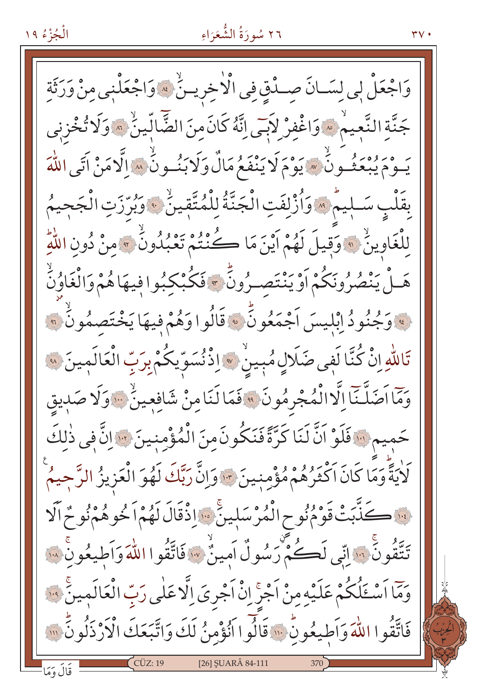الْجُزْءُ ١٩

 $\mathsf{r}\mathsf{v}$  .

وَاجْعَلْ لِي لِسَـانَ صِـدْقِ فِي الْأَخِرِيـنُ ۞ وَاجْعَلْنِي مِنْ وَرَثَةِ جَنَّةِ النَّعِيمُ \* وَاغْفِرْ لاَبِي اِنَّهُ كَانَ مِنَ الضَّالِّينُ \* وَلَا تُخْزِنِي ه بِرُوْمَ وِ مِنْ سَيَوْمَ لَا يَنْفَعُ مَالٌ وَلَا بَنُسُونٌ بِسَاالَّا مَنْ آتَى اللَّهَ بِقَلْبِ سَـلِيمٌ ﴾ وَأُزْلِفَتِ الْجَنَّةُ لِلْمُتَّقِينُ ﴾ وَبُرِّرَتِ الْجَحِيمُ لِلْغَاوِينُ ﴾ وَقِيلَ لَهُمْ أَيْنَ مَا كُنْتُمْ تَعْبُدُونُ ﴾ منْ دُونِ اللَّهِ هَـلْ يَنْصُرُونَكُمْ اَوْ يَنْتَصـرُونَّ ﴾ فَكُبْكِبُوا فِيهَا هُمْ وَالْغَاوُنَّ <u>َ» وَ</u>جُنُودُ إِبْلِيسَ اَجْمَعُونَّ ۞ قَالُوا وَهُمْ فِيهَا يَخْتَصِمُونُ ۞ تَاللّٰهِ إِنْ كُنَّا لَفِي ضَلَالٍ مُبِينٌ \* إِذْنُسَوِّيكُمْ بِرَبِّ الْعَالَمِينَ ۞ وَمَّا اَصَلَّنَّا اِلَّا الْمُجْرِمُونَ ﴾ فَمَا لَنَامِنْ شَافِعِينٌ ﴾ وَلَا صَدِيقِ حَمِيمِ إِنَّا فَلَوْ اَنَّ لَنَا كَرَّةً فَنَكُونَ مِنَ الْمُؤْمِنِينَ إِنَّ إِنَّ فِي ذٰلِكَ لَاٰيَةً وَمَا كَانَ اَكْثَرُهُمْ مُؤْمِنِينَ \* وَإِنَّ رَبَّكَ لَهُوَ الْعَزِيزُ الرَّحِيمُ يَّةَ كَذَّبَتْ قَوْمُنُوحِ الْمُرْسَلِينَّ سَاذْقَالَ لَهُمْ اَخُوهُمْنُوحٌ اَلَا تَتَّقُونَ ۚ . ﴾ انِّي لَڪُمْ رَسُولٌ اَمينٌٰ ۞ فَاتَّقُوا اللَّهَ وَاَطِيعُونَ ۞ وَمَا اَسْئَلُكُمْ عَلَيْهِ مِنْ اَجْرَ إِنْْ اَجْرِيَ إِلَّا عَلَى رَبِّ الْعَالَمِينَ ۚ وَلَا فَاتَّقُوا اللَّهَ وَاَطِيعُونٍّ ۚ ۚ ۚ قَالُوا أَنُؤْمِنُ لَكَ وَاتَّبَعَكَ الْأَرْذَلُونَّ ۚ ۚ [26] ŞUARÂ 84-111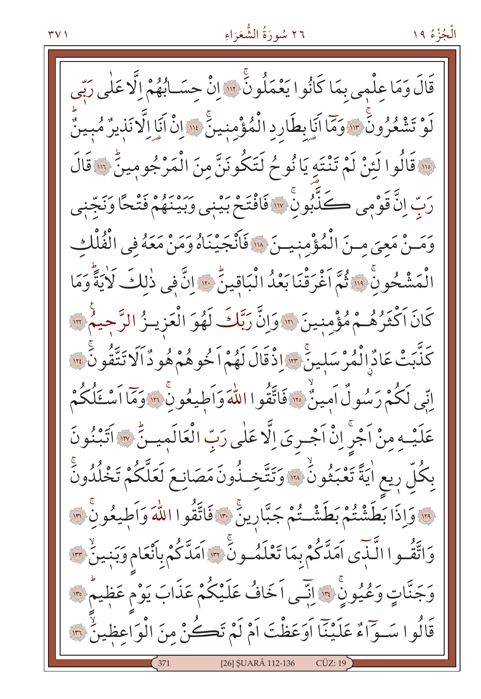قَالَ وَمَا عِلْمِي بِمَا كَانُوا يَعْمَلُونَّ ۚ " إِنْ حِسَـابُهُمْ إِلَّا عَلَى رَبِّي لَوْ تَشْعُرُونَ ۚ "وَمَا أَيَابِطَارِدِ الْمُؤْمِنِينَ ۚ ۚ " إِنْ أَيَا اِلَّا نَذِيرٌ مُبِينٌ وَا قَالُوا لَئِنْ لَمْ تَنْتَهِ يَا نُوحُ لَتَكُونَنَّ مِنَ الْمَرْجُومِينِّ ۚ وَالَ رَبّ إِنَّ قَوْمِي كَذَّبُونَّ ۞ فَافْتَحْ بَيْنِي وَبَيْنَهُمْ فَتْحًا وَنَجّْنِي وَمَـنْ مَعِيَ مِـنَ الْمُؤْمِنِيـنَ «افْأَنْجَيْنَاهُ وَمَنْ مَعَهُ فِي الْفُلْكِ الْمَشْحُونِ ۚ ۚ إِنَّ ثُمَّ اَغْرَقْنَا بَعْدُ الْبَاقِينِّ ۚ ﴾ [لَّ في ذٰلكَ لَايَةً وَمَا كَانَ اَكْثَرُهُـمْ مُؤْمِنِينَ \* وَإِنَّ رَبَّكَ لَهُوَ الْعَزِيــزُ الرَّحيمُ \* \* كَذَّبَتْ عَادٌ الْمُرْسَلِينَ \* إِذْقَالَ لَهُمْ اَخُوهُمْ هُو دٌ اَلَا تَتَّقُونَ \* \* اِنِّي لَكُمْ رَسُولٌ اَمِينٌ ۞ فَاتَّقُوا اللَّهَ وَاَطِيعُونَ ۞ وَمَا اَسْتَلُكُمْ عَلَيْهِ مِنْ اَجْرِ إِنْ اَجْرِيَ إِلَّا عَلٰى رَبِّ الْعَالَمِيـنَّ ۞ اَتَبْنُونَ بِكُلِّ رِيعِ اٰيَةً تَعْبَثُونَٰ ۞ وَتَتَّخِـذُونَ مَصَانِعَ لَعَلَّكُمْ تَخْلُدُونَٰ <u>اِلَّا وَإِذَا بَطَشْتُمْ بَطَشْتُمْ جَبَّارِينَ</u> ﴾ فَاتَّقُوا اللّٰهَ وَأَطِيعُونِ ۚ ۞ وَاتَّقُّـوا الَّـٰبَى اَمَدَّكُمْ بِمَا تَعْلَمُـونَ ۚ ﴾ اَمَدَّكُمْ بِانْعَام وَبَنِينٌ ﴾ وَجَنَّاتٍ وَعُيُونٍ ۚ ﴾ إنَّمِي اَخَافُ عَلَيْكُمْ عَذَابَ يَوْم عَظِيمٌ ﴾ قَالُوا سَوَّاءٌ عَلَيْنَا أَوَعَظْتَ أَمْ لَمْ تَكُنْ مِنَ الْوَاعِظِينُ ٣ [26] SUARÂ 112-136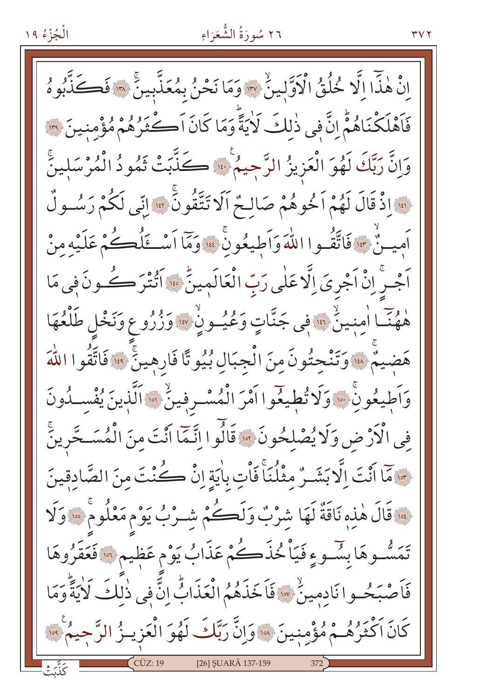الْجُزْءُ ١٩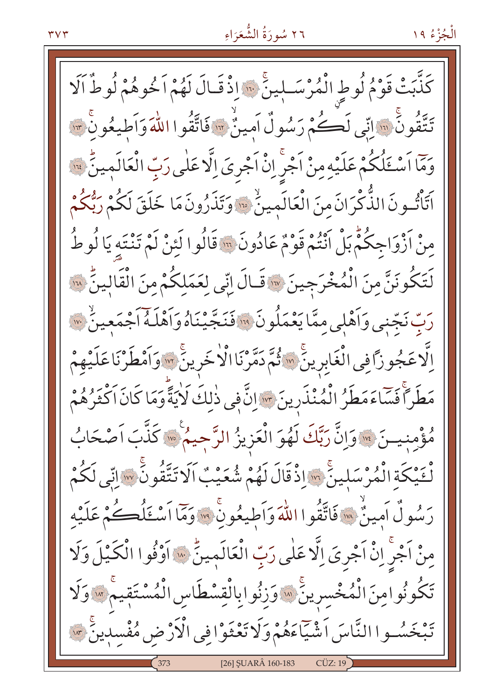كَذَّبَتْ قَوْمُ لُوطٍ الْمُرْسَـلِينَ ۚ "اِذْ قَـالَ لَهُمْ اَخُوهُمْ لُوطٌ اَلَا تَتَقُونَ ۚ ۚ وَإِنِّي لَكُمْ رَسُولٌ أَمِينٌ ۚ وَ فَاتَّقُوا اللَّهَ وَأَطِيعُونِ ۚ وَ لَهَ اللَّهَ وَمَّا أَسْئَلُكُمْ عَلَيْهِ مِنْ أَجْرِ إِنْْ أَجْرِيَ إِلَّا عَلَى رَبِّ الْعَالَمِينِّ لِلَّهَ اَتَأْتُونَ الذَّكْرَانَ منَ الْعَالَمِينُ \* وَتَذَرُونَ مَا خَلَقَ لَكُمْ رَبُّكُمْ مِنْ أَزْوَاجِكُمّْ بَلْ أَنْتُمْ قَوْمٌ عَادُونَ ۚ " قَالُوا لَئِنْ لَمْ تَنْتَهِ يَا لُوطُ لَتَكُونَنَّ مِنَ الْمُخْرَجِينَ ۞ قَـالَ اِنِّي لِعَمَلِكُمْ مِنَ الْقَالِينُ ۞ رَبِّ نَجِّنِي وَأَهْلِي مِمَّا يَعْمَلُونَ ۚ ۚ فَنَجَّيْنَاهُ وَأَهْلَهُ أَجْمَعِينَ ۚ ﴾ اِلَّا عَجُوزًا فِي الْغَابِرِينَ ۞ ثُمَّ دَمَّرْنَا الْأَخَرِينَ ۞ وَٱمْطَرْنَا عَلَيْهِمْ مَطَرَ أَفَسَاءَمَطَرُ الْمُنْذَرِينَ \* إِنَّ فِي ذٰلِكَ لَايَةً وَمَا كَانَ اَكْثَرُهُمْ مُؤْمِنِيسَ \* وَإِنَّ رَبَّكَ لَهُوَ الْعَزِيزُ الرَّجِيمُ \* كَذَّبَ اَصْحَابُ لْثَيْكَةِ الْمُرْسَلِينَ ۚ وَالْذَقَالَ لَهُمْ شُعَيْبٌ اَلَا تَتَّقُونَنَّ ۚ وَاتِّي لَكُمْ رَسُولُ أَمِينٌ ﴾ فَاتَّقُوا اللَّهَ وَأَطِيعُونَ ﴾ وَمَّا أَسْئَلُكُمْ عَلَيْه مِنْ اَجْرْ إِنْ اَجْرِيَ إِلَّا عَلَى رَبِّ الْعَالَمِينِّ ۞ اَوْفُوا الْكَيْلَ وَلَا تَكُونُوامِنَ الْمُخْسِرِينَ ۚ ۚ وَزِنُوابِالْقِسْطَاسِ الْمُسْتَقِيمَ ۚ وَلَا تَبْخَسُوا النَّاسَ اَشْيَاءَهُمْ وَلَا تَعْثَوْا فِي الْأَرْضِ مُفْسِدِينٌ \*\* [26] SUARÂ 160-183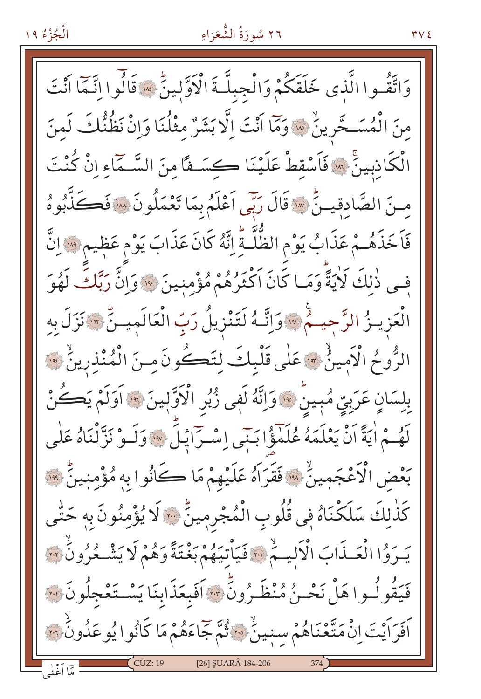# ٢٦ سُورَةُ الشُّعَرَاءِ

وَاتَّقُـوا الَّذِي خَلَقَكُمْ وَالْجِبِلَّـةَ الْأَوَّلِينِّ سَقَالُوا انَّـمَّا أَنْتَ مِنَ الْمُسَــحَّرِينُ \* وَمَا أَنْتَ اِلَّا بَشَرٌ مثْلُنَا وَانْ نَظُنُّكَ لَمنَ الْكَاذِبِينَّ ۞ فَاَسْقِطْ عَلَيْنَا كِسَفًا مِنَ السَّـمَاءِ إِنْ كُنْتَ مِنَ الصَّادِقِينُّ ۞ قَالَ رَبِّي اَعْلَمُ بِمَا تَعْمَلُونَ ۞ فَكَذَّبُوهُ فَاَخَذَهُـمْ عَذَابُ يَوْمِ الظُّلَّـةُ إِنَّهُ كَانَ عَذَابَ يَوْمِ عَظيم ۚ إِلَّ فِي ذٰلِكَ لَأَيَةً وَمَـا كَانَ اَكْثَرُهُمْ مُؤْمِنينَ \* وَإِنَّ رَبَّكَ لَهُوَ الْعَزِيــزُ الرَّجِيــمُ ۞ وَإِنَّــهُ لَتَنْزِيلُ رَبِّ الْعَالَمِيــنِّ ۞ نَزَلَ بِهِ الرُّوحُ الْأَمِينُ \* عَلَى قَلْبِكَ لِتَكُونَ مِنَ الْمُنْذِرِينُ \* بِلِسَانٍ عَرَبِيٍّ مُبِينٌ \* وَإِنَّهُ لَفِي زُبُرِ الْأَوَّلِينَ \* أَوَلَمْ يَكُنْ لَهُمْ اٰيَةً اَنْ يَعْلَمَهُ عُلَمْؤُا بَنِّي إِسْرَائِلَ ﴾ وَلَـوْ نَزَّلْنَاهُ عَلَى بَعْضِ الْأَعْجَمِينُ ۚ ﴾ فَقَرَاهُ عَلَيْهِمْ مَا كَانُوا بِهِ مُؤْمِنِينَ ﴾ ﴾ كَذٰلكَ سَلَكْنَاهُ فِي قُلُوبِ الْمُجْرِمِينٍّ ٣٠٠ لَا يُؤْمِنُونَ بِهِ حَتّٰى يَسْرَوُا الْعَسْذَابَ الْأَلِيهُمْ لِلْهَ فَيَأْتِيَهُمْ بَغْتَةً وَهُمْ لَا يَشْكُرُونَ لِلَّهِ فَيَقُولُـوا هَلْ نَحْـنُ مُنْظَـرُونَّ ۞ اَفَبِعَذَابِنَا يَسْـتَعْجِلُونَ ۞ أَفَرَأَيْتَ إِنْ مَتَّعْنَاهُمْ سِنِينٌ ﴾ أَثُمَّ جَاءَهُمْ مَا كَانُوا يُوعَدُونُ ۞ [26] ŞUARÂ 184-206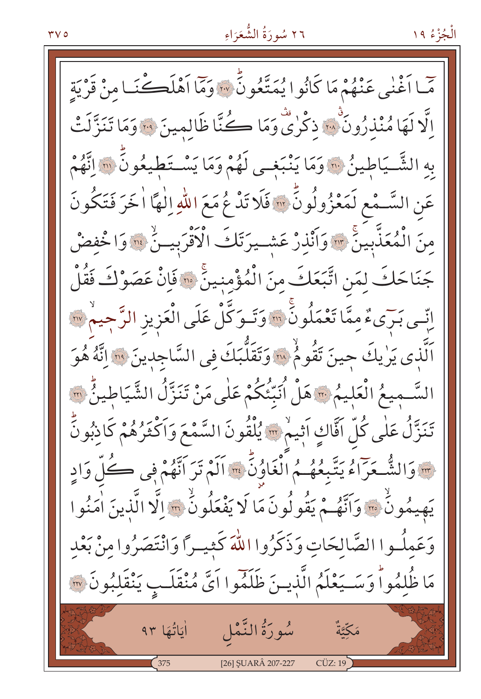#### $\mathbf{r} \vee \mathbf{0}$

### ٢٦ سُورَةُ الشُّعَرَاءِ

حَمّا أَغْنَى عَنْهُمْ مَا كَانُوا يُمَتَّعُونَّ \* وَمَّا أَهْلَڪْنَـا مِنْ قَرْيَةِ اِلَّا لَهَا مُنْذِرُونَ ۚ وَلَا تَدْرٰى وَمَا كُنَّا ظَالِمِينَ ۞ وَمَا تَنَزَّلَتْ بِهِ الشَّيَاطِينُ ۞ وَمَا يَنْبَغِي لَهُمْ وَمَا يَسْتَطِيعُونَ ۞ اِتَّهُمْ عَنِ السَّـمْعِ لَمَعْزُولُونَّ ۞ فَلَا تَدْعُ مَعَ اللّهِ اِلٰهَا اٰ خَرَ فَتَكُونَ مِنَ الْمُعَذَّبِينَ \* وَأَنْذِرْ عَشِيرَتَكَ الْأَقْرَبِينَ \* وَاخْفِضْ جَنَاحَكَ لِمَنِ اتَّبَعَكَ مِنَ الْمُؤْمِنِينَ ۞ فَإِنْ عَصَوْكَ فَقُلْ اِنِّـى بَرَىءٌ مِمَّا تَعْمَلُونَّ ۚ ۚ وَتَـوَكَّلْ عَلَى الْعَزِيزِ الرَّجِيمُ ۚ ۚ اَلَّذِي يَرٰيكَ حِينَ تَقُومُ ۚ إِلاَّ وَتَقَلَّبَكَ فِي السَّاجِدِينَ ۚ ۚ ۚ وَقَلَّهُ هُوَ السَّـمِيعُ الْعَلِيمُ ۞ هَلْ أُنَبِّئُكُمْ عَلٰى مَنْ تَنَزَّلُ الشَّيَاطِينُ ۞ تَنَزَّلُ عَلٰى كُلِّ اَفَّاكٍ اَثِيمْ \* يُلْقُونَ السَّمْعَ وَاَكْثَرُهُمْ كَاذِبُونَّ حِسَ وَالشُّعَرَاءُ يَتَّبِعُهُمُ الْغَاوُنِّ مِسَالَمْ تَرَ اَنَّهُمْ فِي كُلِّ وَادِ يَهِيمُونُ ۚ ﴾ وَاتَّهُـمْ يَقُولُونَ مَا لَا يَفْعَلُونُ ﴾ [لَّا الَّذِينَ اٰمَنُوا وَعَمِلُـوا الصَّالِحَاتِ وَذَكَرُوا اللَّهَ كَثِيـرًا وَانْتَصَرُوا مِنْ بَعْدِ مَا ظُٰلِمُواْ وَسَـيَعْلَمُ الَّذِينَ ظَلَمُوا اَيَّ مُنْقَلَبٍ يَنْقَلِبُونَ ۞ أَيَاتُهَا ٩٣ سُورَةُ النَّمْل مَكِّيَّةٌ  $\sim$  375  $CUZ:19$ [26] ŞUARÂ 207-227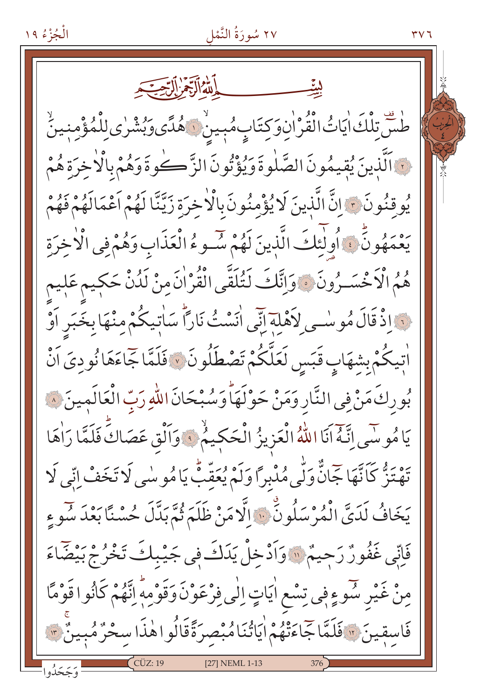الْجُزْءُ ١٩

٢٧ سُورَةُ النَّمْل

ڟۺٙؾؚڵڬ؋ؗؽٲٮ۠ٛ؋ڷڡؙٛۯ<sup>ۨ</sup>ٳڹۣۅؘڮؾؘٳٮؚؚ۪ۿؙڹ۪ۑڹۨ<mark>۞ۿؙ</mark>ٮؘ۠ؽ*ۅؘؠؙ*ۺ۠ڔؗؽڶؚۣڵۛڡؙٷ۫ڡڹۑڽؖٚ نَ اَلَّذِينَ يُقِيمُونَ الصَّلٰوةَ وَيُؤْتُونَ الزَّكُوةَ وَهُمْ بِالْأَخِرَةِ هُمْ يُوقِنُونَ ﴾ إِنَّ الَّذِينَ لَا يُؤْمِنُونَ بِالْأَخِرَةِ زَيَّنَّا لَهُمْ أَعْمَالَهُمْ فَهُمْ يَعْمَهُونٍّ ، أُولٰئِكَ الَّذِينَ لَهُمْ سُّـوءُ الْعَذَابِ وَهُمْ فِي الْأَخِرَةِ هُمُ الْاَخْسَـرُونَ ﴾ وَاتَّكَ لَتُلَقَّى الْقُرْانَ مِنْ لَدُنْ حَكِيم عَلِيم نَ إِذْ قَالَ مُوسْبِي لِأَهْلِهِ إِنِّي انَسْتُ نَارًا سَاتِيكُمْ مِنْهَا بِخَبَرِ اَوْ اْتِيكُمْ بِشِهَابٍ قَبَسٍ لَعَلَّكُمْ تَصْطَلُونَ ۞ فَلَمَّا جَاءَهَا نُوديَ اَنْ بُورِكَ مَنْ فِي النَّارِ وَمَنْ حَوْلَهَا وَسُبْحَانَ اللّٰهِ رَبِّ الْعَالَمِينَ ۞ يَا مُوسَى إِنَّهُ أَنَا اللَّهُ الْعَزِيزُ الْحَكِيمُ ۚ وَاَلْقِ عَصَاكَ فَلَمَّا رَاٰهَا يَهْ يَهْ كَاتَّهَا جَمَانٌّ وَلَّى مُدْبِرًا وَلَمْ يُعَقِّبُ يَا مُوسٰى لَا تَخَفْ إِنِّي لَا يَخَافُ لَدَيَّ الْمُرْسَلُونِّ ۚ وَإِلَّا مَنْ ظَلَمَ ثُمَّ بَدَّلَ حُسْنًا بَعْدَ سُوءِ فَاتِّي غَفُورٌ رَحِيمٌ ۚ وَأَدْخِلْ يَدَكَ فِي جَيْبِكَ تَخْرُجْ بَيْضَاءَ مِنْ غَيْرِ سُوءٍفِي تِسْعِ اٰيَاتٍ اِلٰى فِرْعَوْنَ وَقَوْمِهٖ اِنَّهُمْ كَانُوا قَوْمًا فَاسِقِينَ ﴾ فَلَمَّا جَاءَتْهُمْ ايَاتُنَامُبْصِرَةًقَالُواهٰذَا سخْرُمُبِينٌ ﴾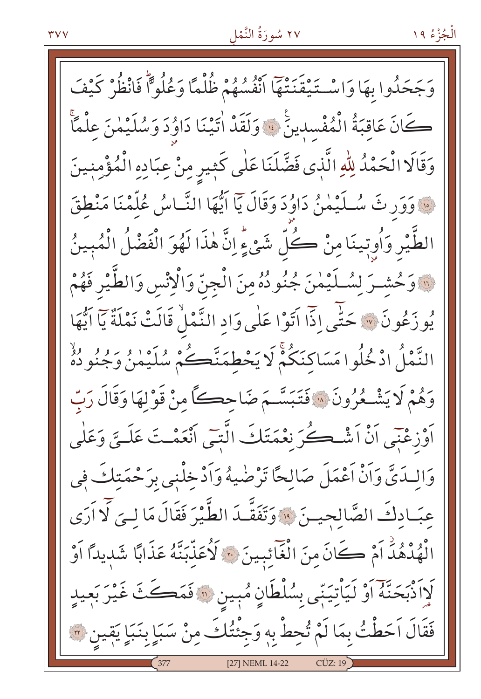#### ٢٧ سُورَةُ النَّمْل

الْجُزْءُ ١٩

وَجَحَدُوا بِهَا وَاسْتَيْقَنَتْهَا انْفُسُهُمْ ظُلْمًا وَعُلُواً فَانْظُرْ كَيْفَ كَانَ عَاقِبَةُ الْمُفْسِدِينَ ۚ إِلَى وَلَقَدْ اٰتَيْنَا دَاوُدَ وَسُلَيْمٰنَ عِلْمًا وَقَالَا الْحَمْدُ لِلَّهِ الَّذِي فَضَّلَنَا عَلَى كَثِيرِ مِنْ عِبَادِهِ الْمُؤْمِنِينَ نَ وَوَرِ ثَ سُلَيْمٰنُ دَاوُدَ وَقَالَ يَآ ايُّهَا النَّاسُ عُلَّمْنَا مَنْطَقَ الطَّيْرِ وَأُوتِينَا مِنْ كُلِّ شَيْءٍ إِنَّ هٰذَا لَهُوَ الْفَضْلُ الْمُبِينُ لِنَّا وَحُشِيرَ لِسُلَيْمٰنَ جُنُودُهُ مِنَ الْجِنَّ وَالْإِنْسِ وَالطَّيْرِ فَهُمْ يُوزَعُونَ \* حَتَّى إِذَّا آتَوْا عَلَى وَادِ النَّمْلُ قَالَتْ نَمْلَةٌ يَا آيُّهَا النَّمْلُ ادْخُلُوا مَسَاكِنَكُمْ لَا يَحْطِمَنَّڪُمْ سُلَيْمِنُ وَجُنُودُهُ وَهُمْ لَا يَشْـعُرُونَ ۚ إِلاَّ فَتَبَسَّـمَ ضَاحڪاً منْ قَوْلَهَا وَقَالَ رَبّ أَوْزِعْنِي أَنْ أَشْكُرَ نِعْمَتَكَ الَّتِبِي أَنْعَمْتَ عَلَيِّ وَعَلَى وَالِبِدَيَّ وَأَنْ أَعْمَلَ صَالِحًا تَرْضٰيهُ وَأَدْخِلْنِي بِرَحْمَتِكَ فِي عِبَـادِكَ الصَّالِجِيـنَ ۞ وَتَفَقَّـدَ الطَّيْرَ فَقَالَ مَا لِـيَ لَا اَرَى الْهُدْهُدَ أَمْ كَانَ مِنَ الْغَائِبِينَ ﴾ لَأُعَذِّبَنَّهُ عَذَابًا شَدِيدًا أَوْ كَرَانُّهُ حَنَّةً أَوْ لَيَأْتِيَنِّي بِسُلْطَانٍ مُبِينٍ ۞ فَمَكَثَ غَيْرَ بَعِيدٍ فَقَالَ اَحَطْتُ بِمَا لَمْ تُحِطْ بِهِ وَجِئْتُكَ مِنْ سَبَإٍ بِنَبَإٍ يَقِينِ ٣ [27] NEML 14-22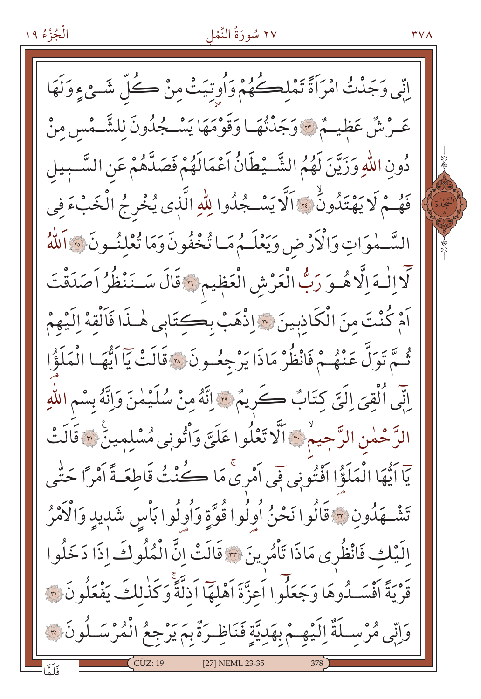#### ٢٧ سُورَةُ النَّمْل

**TVA** 

اِنِّي وَجَدْتُ امْرَاَةً تَمْلِكُهُمْ وَأُوتِيَتْ مِنْ كُلِّ شَـئِ ءٍ وَلَهَا عَـرْشٌ عَظِيـمٌ \* وَجَدْتُهَـا وَقَوْمَهَا يَسْـجُدُونَ لِلشَّـمْسِ مِنْ دُونِ اللَّهِ وَزَيَّنَ لَهُمُ الشَّـيْطَانُ اَعْمَالَهُمْ فَصَدَّهُمْ عَنِ السَّـبِيلِ فَهُمْ لَا يَهْتَدُونُ ۚ ۚ ٱلَّا يَسْكُدُوا لِلّٰهِ الَّذِي يُخْرِجُ الْخَبْءَ فِي السَّـمٰوَاتِ وَالْأَرْضِ وَيَعْلَـمُ مَـا يُّخْفُونَ وَمَا يُّعْلِنُـونَ ۞ اَللَّهُ لَّا اِلْـهَ اِلَّا هُــوَ رَبُّ الْعَرْشِ الْعَظِيمِ ؟ قَالَ سَــنَنْظُرُ اَصَدَقْتَ اَمْ كُنْتَ مِنَ الْكَاذِبِينَ ۞ اِذْهَبْ بِكِتَابِي هٰـذَا فَاَلْقِهْ اِلَيْهِمْ ثُمَّ تَوَلَّ عَنْهُمْ فَانْظُرْ مَاذَا يَرْجِعُونَ ۞ قَالَتْ يَآ اَيُّهَا الْمَلَؤُا يِّنِّي ٱلْقِيَ إِلَيَّ كِتَابٌ كَرِيمٌ ۚ وَاتَّهُ مِنْ سُلَيْمٰنَ وَإِنَّهُ بِسْمِ اللَّهِ الرَّحْمٰنِ الرَّجِيمْ۞ اَلَّا تَعْلُوا عَلَيَّ وَاْتُونِي مُسْلِمِينَ ۞ قَالَتْ يّاً ايُّهَا الْمَلَؤُا اَفْتُونِي فَي اَمْرِيْ مَا كُنْتُ قَاطِعَـةً اَمْرًا حَتّٰى تَشْــهَدُونِ ۞ قَالُوا نَحْنُ أُولُوا قُوَّةٍ وَأُولُوا بَأْسِ شَدِيدٍ وَالْأَمْرُ اِلَيْكِ فَانْظُرِي مَاذَا تَأْمُرِينَ ٣ قَالَتْ إِنَّ الْمُلُوكَ إِذَا دَخَلُوا قَرْيَةً أَفْسَـٰدُوهَا وَجَعَلُوا اَعزَّةَ اَهْلَهَا اَذلَّةً وَكَذٰلكَ يَفْعَلُونَ ۚ قَ وَإِنِّي مُرْسِـلَةٌ إِلَيْهِـمْ بِهَدِيَّةٍ فَنَاظِـرَةٌ بِمَ يَرْجِعُ الْمُرْسَـلُونَ ؟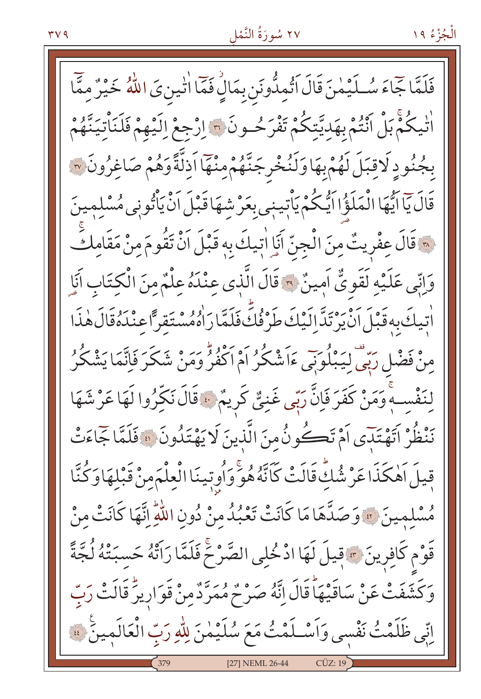#### ٢٧ سُورَةُ النَّمْل